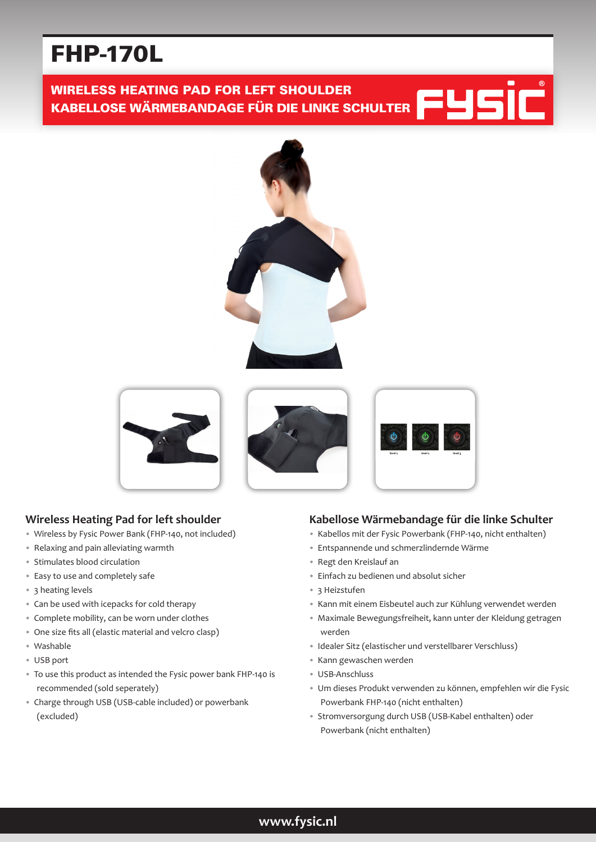# FHP-170L

WIRELESS HEATING PAD FOR LEFT SHOULDER KABELLOSE WÄRMEBANDAGE FÜR DIE LINKE SCHULTER



# **Wireless Heating Pad for left shoulder**

- Wireless by Fysic Power Bank (FHP-140, not included)
- Relaxing and pain alleviating warmth
- Stimulates blood circulation
- Easy to use and completely safe
- 3 heating levels
- Can be used with icepacks for cold therapy
- Complete mobility, can be worn under clothes
- One size fits all (elastic material and velcro clasp)
- Washable
- USB port
- To use this product as intended the Fysic power bank FHP-140 is recommended (sold seperately)
- Charge through USB (USB-cable included) or powerbank (excluded)

# **Kabellose Wärmebandage für die linke Schulter**

- Kabellos mit der Fysic Powerbank (FHP-140, nicht enthalten)
- Entspannende und schmerzlindernde Wärme
- Regt den Kreislauf an
- Einfach zu bedienen und absolut sicher
- 3 Heizstufen
- Kann mit einem Eisbeutel auch zur Kühlung verwendet werden
- Maximale Bewegungsfreiheit, kann unter der Kleidung getragen werden
- Idealer Sitz (elastischer und verstellbarer Verschluss)
- Kann gewaschen werden
- USB-Anschluss
- Um dieses Produkt verwenden zu können, empfehlen wir die Fysic Powerbank FHP-140 (nicht enthalten)
- Stromversorgung durch USB (USB-Kabel enthalten) oder Powerbank (nicht enthalten)